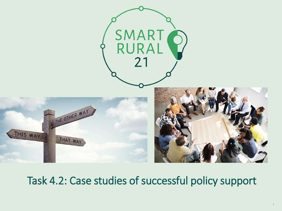

### Task 4.2: Case studies of successful policy support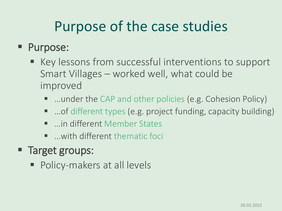## Purpose of the case studies

#### ■ Purpose:

- Key lessons from successful interventions to support Smart Villages – worked well, what could be improved
	- …under the CAP and other policies (e.g. Cohesion Policy)
	- …of different types (e.g. project funding, capacity building)
	- …in different Member States
	- …with different thematic foci
- Target groups:
	- Policy-makers at all levels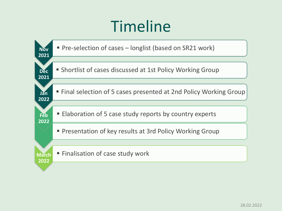# Timeline

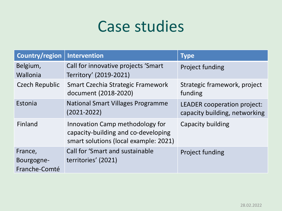## Case studies

| Country/region                         | Intervention                                                                                                    | <b>Type</b>                                                  |
|----------------------------------------|-----------------------------------------------------------------------------------------------------------------|--------------------------------------------------------------|
| Belgium,                               | Call for innovative projects 'Smart                                                                             | <b>Project funding</b>                                       |
| Wallonia                               | Territory' (2019-2021)                                                                                          |                                                              |
| <b>Czech Republic</b>                  | Smart Czechia Strategic Framework<br>document (2018-2020)                                                       | Strategic framework, project<br>funding                      |
| Estonia                                | <b>National Smart Villages Programme</b><br>$(2021 - 2022)$                                                     | LEADER cooperation project:<br>capacity building, networking |
| Finland                                | Innovation Camp methodology for<br>capacity-building and co-developing<br>smart solutions (local example: 2021) | Capacity building                                            |
| France,<br>Bourgogne-<br>Franche-Comté | Call for 'Smart and sustainable<br>territories' (2021)                                                          | <b>Project funding</b>                                       |